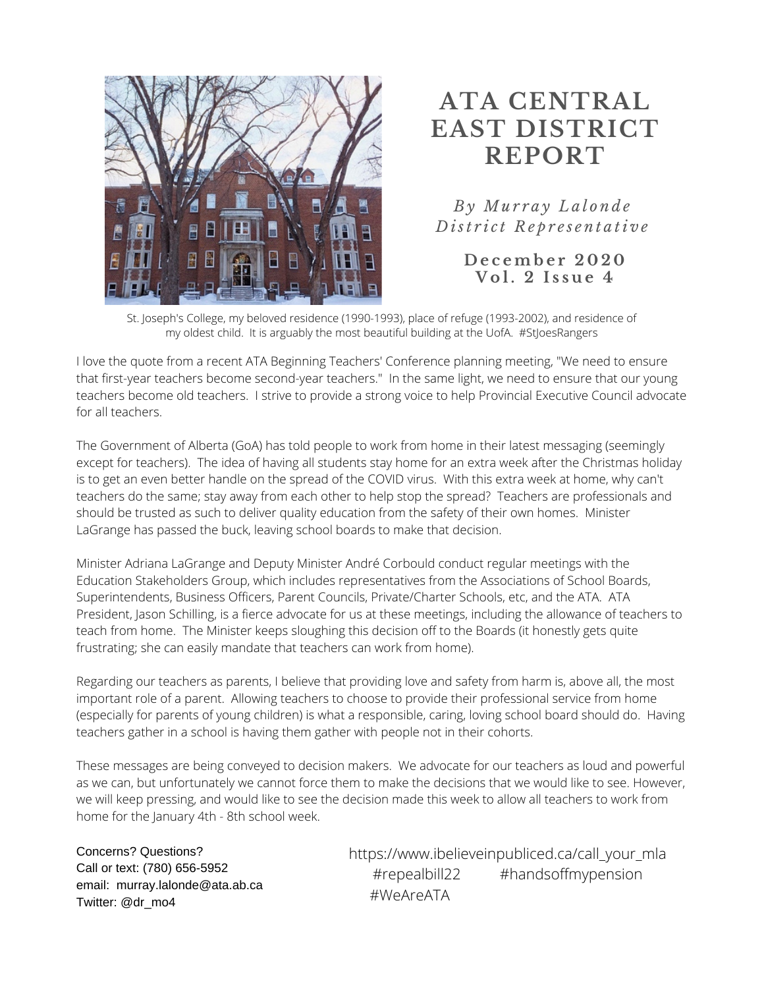

## **ATA CENTRAL EAST DISTRICT REPORT**

*B y Mu r r a y L a l o n d e D ist r i c t R e p r e s e n t a ti v e*

> **D e c emb e r 2 0 2 0 V o l . 2 I s s u e 4**

St. Joseph's College, my beloved residence (1990-1993), place of refuge (1993-2002), and residence of my oldest child. It is arguably the most beautiful building at the UofA. #StJoesRangers

I love the quote from a recent ATA Beginning Teachers' Conference planning meeting, "We need to ensure that first-year teachers become second-year teachers." In the same light, we need to ensure that our young teachers become old teachers. I strive to provide a strong voice to help Provincial Executive Council advocate for all teachers.

The Government of Alberta (GoA) has told people to work from home in their latest messaging (seemingly except for teachers). The idea of having all students stay home for an extra week after the Christmas holiday is to get an even better handle on the spread of the COVID virus. With this extra week at home, why can't teachers do the same; stay away from each other to help stop the spread? Teachers are professionals and should be trusted as such to deliver quality education from the safety of their own homes. Minister LaGrange has passed the buck, leaving school boards to make that decision.

Minister Adriana LaGrange and Deputy Minister André Corbould conduct regular meetings with the Education Stakeholders Group, which includes representatives from the Associations of School Boards, Superintendents, Business Officers, Parent Councils, Private/Charter Schools, etc, and the ATA. ATA President, Jason Schilling, is a fierce advocate for us at these meetings, including the allowance of teachers to teach from home. The Minister keeps sloughing this decision off to the Boards (it honestly gets quite frustrating; she can easily mandate that teachers can work from home).

Regarding our teachers as parents, I believe that providing love and safety from harm is, above all, the most important role of a parent. Allowing teachers to choose to provide their professional service from home (especially for parents of young children) is what a responsible, caring, loving school board should do. Having teachers gather in a school is having them gather with people not in their cohorts.

These messages are being conveyed to decision makers. We advocate for our teachers as loud and powerful as we can, but unfortunately we cannot force them to make the decisions that we would like to see. However, we will keep pressing, and would like to see the decision made this week to allow all teachers to work from home for the January 4th - 8th school week.

Concerns? Questions? Call or text: (780) 656-5952 email: murray.lalonde@ata.ab.ca Twitter: @dr\_mo4

https://www.ibelieveinpubliced.ca/call\_your\_mla #repealbill22 #handsoffmypension #WeAreATA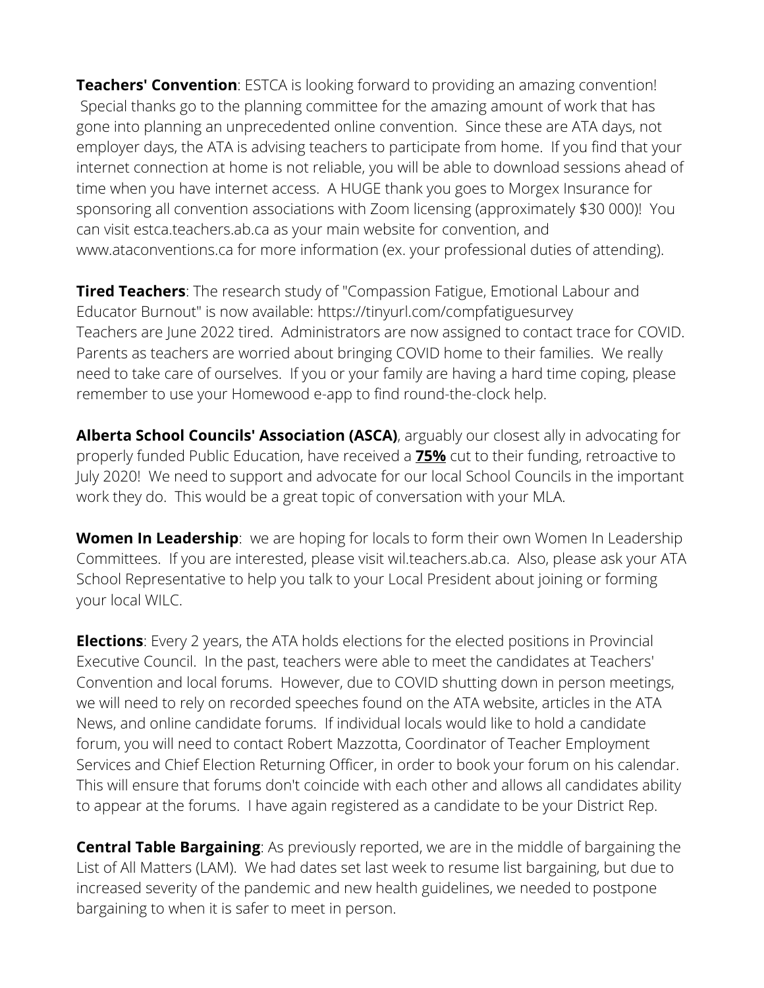**Teachers' Convention**: ESTCA is looking forward to providing an amazing convention! Special thanks go to the planning committee for the amazing amount of work that has gone into planning an unprecedented online convention. Since these are ATA days, not employer days, the ATA is advising teachers to participate from home. If you find that your internet connection at home is not reliable, you will be able to download sessions ahead of time when you have internet access. A HUGE thank you goes to Morgex Insurance for sponsoring all convention associations with Zoom licensing (approximately \$30 000)! You can visit estca.teachers.ab.ca as your main website for convention, and www.ataconventions.ca for more information (ex. your professional duties of attending).

**Tired Teachers**: The research study of "Compassion Fatigue, Emotional Labour and Educator Burnout" is now available: https://tinyurl.com/compfatiguesurvey Teachers are June 2022 tired. Administrators are now assigned to contact trace for COVID. Parents as teachers are worried about bringing COVID home to their families. We really need to take care of ourselves. If you or your family are having a hard time coping, please remember to use your Homewood e-app to find round-the-clock help.

**Alberta School Councils' Association (ASCA)**, arguably our closest ally in advocating for properly funded Public Education, have received a **75%** cut to their funding, retroactive to July 2020! We need to support and advocate for our local School Councils in the important work they do. This would be a great topic of conversation with your MLA.

**Women In Leadership**: we are hoping for locals to form their own Women In Leadership Committees. If you are interested, please visit wil.teachers.ab.ca. Also, please ask your ATA School Representative to help you talk to your Local President about joining or forming your local WILC.

**Elections**: Every 2 years, the ATA holds elections for the elected positions in Provincial Executive Council. In the past, teachers were able to meet the candidates at Teachers' Convention and local forums. However, due to COVID shutting down in person meetings, we will need to rely on recorded speeches found on the ATA website, articles in the ATA News, and online candidate forums. If individual locals would like to hold a candidate forum, you will need to contact Robert Mazzotta, Coordinator of Teacher Employment Services and Chief Election Returning Officer, in order to book your forum on his calendar. This will ensure that forums don't coincide with each other and allows all candidates ability to appear at the forums. I have again registered as a candidate to be your District Rep.

**Central Table Bargaining**: As previously reported, we are in the middle of bargaining the List of All Matters (LAM). We had dates set last week to resume list bargaining, but due to increased severity of the pandemic and new health guidelines, we needed to postpone bargaining to when it is safer to meet in person.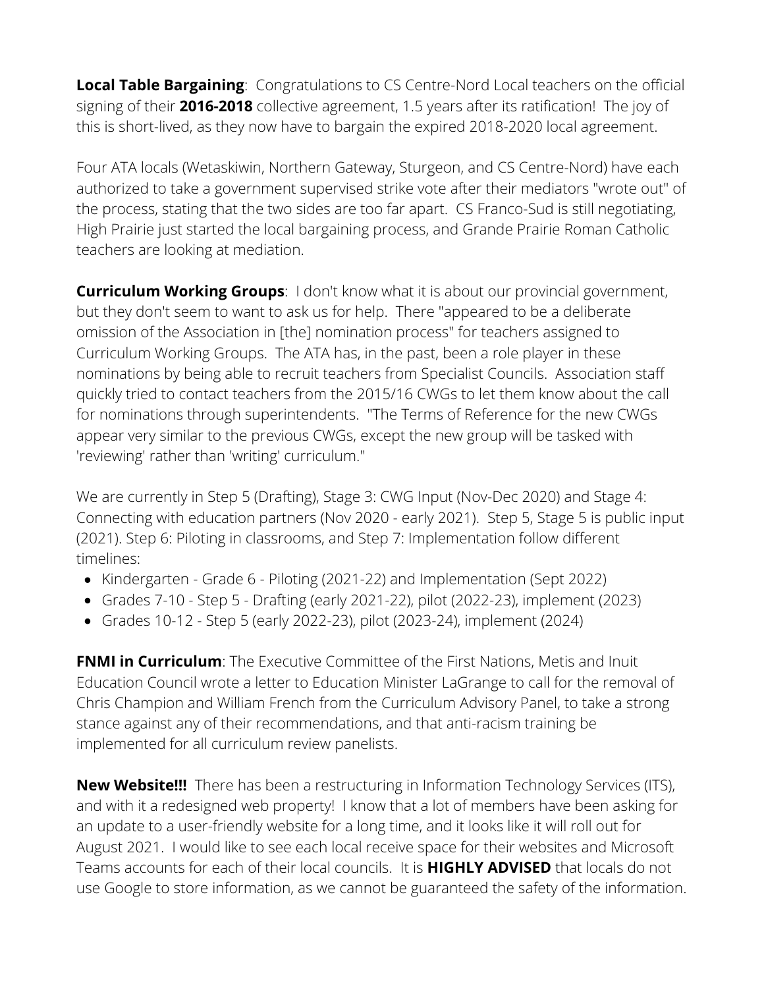**Local Table Bargaining**: Congratulations to CS Centre-Nord Local teachers on the official signing of their **2016-2018** collective agreement, 1.5 years after its ratification! The joy of this is short-lived, as they now have to bargain the expired 2018-2020 local agreement.

Four ATA locals (Wetaskiwin, Northern Gateway, Sturgeon, and CS Centre-Nord) have each authorized to take a government supervised strike vote after their mediators "wrote out" of the process, stating that the two sides are too far apart. CS Franco-Sud is still negotiating, High Prairie just started the local bargaining process, and Grande Prairie Roman Catholic teachers are looking at mediation.

**Curriculum Working Groups**: I don't know what it is about our provincial government, but they don't seem to want to ask us for help. There "appeared to be a deliberate omission of the Association in [the] nomination process" for teachers assigned to Curriculum Working Groups. The ATA has, in the past, been a role player in these nominations by being able to recruit teachers from Specialist Councils. Association staff quickly tried to contact teachers from the 2015/16 CWGs to let them know about the call for nominations through superintendents. "The Terms of Reference for the new CWGs appear very similar to the previous CWGs, except the new group will be tasked with 'reviewing' rather than 'writing' curriculum."

We are currently in Step 5 (Drafting), Stage 3: CWG Input (Nov-Dec 2020) and Stage 4: Connecting with education partners (Nov 2020 - early 2021). Step 5, Stage 5 is public input (2021). Step 6: Piloting in classrooms, and Step 7: Implementation follow different timelines:

- Kindergarten Grade 6 Piloting (2021-22) and Implementation (Sept 2022)
- Grades 7-10 Step 5 Drafting (early 2021-22), pilot (2022-23), implement (2023)
- Grades 10-12 Step 5 (early 2022-23), pilot (2023-24), implement (2024)

**FNMI in Curriculum**: The Executive Committee of the First Nations, Metis and Inuit Education Council wrote a letter to Education Minister LaGrange to call for the removal of Chris Champion and William French from the Curriculum Advisory Panel, to take a strong stance against any of their recommendations, and that anti-racism training be implemented for all curriculum review panelists.

**New Website!!!** There has been a restructuring in Information Technology Services (ITS), and with it a redesigned web property! I know that a lot of members have been asking for an update to a user-friendly website for a long time, and it looks like it will roll out for August 2021. I would like to see each local receive space for their websites and Microsoft Teams accounts for each of their local councils. It is **HIGHLY ADVISED** that locals do not use Google to store information, as we cannot be guaranteed the safety of the information.